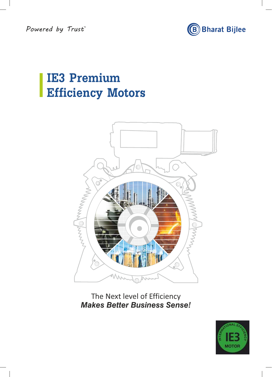Powered by Trust



# **IE3 Premium Efficiency Motors**



The Next level of Efficiency  *Makes Better Business Sense!*

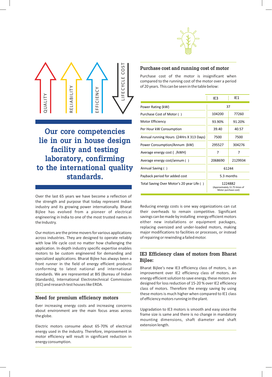



**Our core competencies lie in our in house design facility and testing laboratory, confirming to the international quality standards.**

Over the last 65 years we have become a reflection of the strength and purpose that today represent Indian industry and its growing power internationally. Bharat Bijlee has evolved from a pioneer of electrical engineering in India to one of the most trusted names in the Industry.

Our motors are the prime movers for various applications across industries. They are designed to operate reliably with low life cycle cost no matter how challenging the application. In-depth industry specific expertise enables motors to be custom engineered for demanding and specialized applications. Bharat Bijlee has always been a front runner in the field of energy efficient products conforming to latest national and international standards. We are represented at BIS (Bureau of Indian Standards), International Electrotechnical Commission (IEC) and research test houses like ERDA.

#### **Need for premium efficiency motors**

Ever increasing energy costs and increasing concerns about environment are the main focus areas across the globe.

Electric motors consume about 65-70% of electrical energy used in the industry. Therefore, improvement in motor efficiency will result in significant reduction in energy consumption.

#### **Purchase cost and running cost of motor**

Purchase cost of the motor is insignificant when compared to the running cost of the motor over a period of 20 years. This can be seen in the table below:

|                                           | IE3     | IF1                                                              |
|-------------------------------------------|---------|------------------------------------------------------------------|
| Power Rating (kW)                         |         | 37                                                               |
| Purchase Cost of Motor ()                 | 104200  | 77260                                                            |
| Motor Efficiency                          | 93.90%  | 91.20%                                                           |
| Per Hour kW Consumption                   | 39.40   | 40.57                                                            |
| Annual running Hours (24Hrs X 313 Days)   | 7500    | 7500                                                             |
| Power Consumption/Annum (kW)              | 295527  | 304276                                                           |
| Average energy cost (/kWH)                | 7       | 7                                                                |
| Average energy cost/annum ()              | 2068690 | 2129934                                                          |
| Annual Saving ()                          |         | 61244                                                            |
| Payback period for added cost             |         | 5.3 months                                                       |
| Total Saving Over Motor's 20 year Life () |         | 1224882<br>(Approximately 11.75 times of<br>Motor purchase cost) |

Reducing energy costs is one way organizations can cut their overheads to remain competitive. Significant savings can be made by installing energy efficient motors either new installations or equipment packages, replacing oversized and under-loaded motors, making major modifications to facilities or processes, or instead of repairing or rewinding a failed motor.

## **IE3 Efficiency class of motors from Bharat Bijlee:**

Bharat Bijlee's new IE3 efficiency class of motors, is an improvement over IE2 efficiency class of motors. An energy efficient solution to save energy, these motors are designed for loss reduction of 15-20 % over IE2 efficiency class of motors. Therefore the energy saving by using these motors is much higher when compared to IE1 class of efficiency motors running in the plant.

Upgradation to IE3 motors is smooth and easy since the frame size is same and there is no change in mandatory mounting dimensions, shaft diameter and shaft extension length.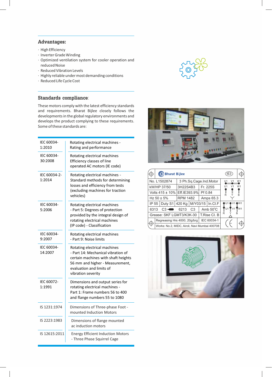## **Advantages:**

- · High Efficiency
- · Inverter Grade Winding
- · Optimized ventilation system for cooler operation and reduced Noise
- · Reduced Vibration Levels
- · Highly reliable under most demanding conditions
- · Reduced Life Cycle Cost

## **Standards compliance**:

These motors comply with the latest efficiency standards and requirements. Bharat Bijlee closely follows the developments in the global regulatory environments and develops the product complying to these requirements. Some of these standards are:

| IEC 60034-<br>1:2010   | Rotating electrical machines -<br>Rating and performance                                                                                                                                       |
|------------------------|------------------------------------------------------------------------------------------------------------------------------------------------------------------------------------------------|
| IEC 60034-<br>30:2008  | Rotating electrical machines<br>Efficiency classes of line<br>operated AC motors (IE code)                                                                                                     |
| IEC 60034-2-<br>1:2014 | Rotating electrical machines -<br>Standard methods for determining<br>losses and efficiency from tests<br>(excluding machines for traction<br>vehicles)                                        |
| IEC 60034-<br>5:2006   | Rotating electrical machines<br>- Part 5: Degrees of protection<br>provided by the integral design of<br>rotating electrical machines<br>(IP code) - Classification                            |
| IEC 60034-<br>9:2007   | Rotating electrical machines<br>- Part 9: Noise limits                                                                                                                                         |
| IEC 60034-<br>14:2007  | Rotating electrical machines<br>- Part 14: Mechanical vibration of<br>certain machines with shaft heights<br>56 mm and higher - Measurement,<br>evaluation and limits of<br>vibration severity |
| IEC 60072-<br>1:1991   | Dimensions and output series for<br>rotating electrical machines -<br>Part 1: Frame numbers 56 to 400<br>and flange numbers 55 to 1080                                                         |
| IS 1231:1974           | Dimensions of Three-phase Foot -<br>mounted Induction Motors                                                                                                                                   |
| IS 2223:1983           | Dimensions of flange mounted<br>ac induction motors                                                                                                                                            |
| IS 12615:2011          | <b>Energy Efficient Induction Motors</b><br>- Three Phase Squirrel Cage                                                                                                                        |





|       | (B) Bharat Bijlee                             |                             |                |  |                        |                            | IE3 |    |
|-------|-----------------------------------------------|-----------------------------|----------------|--|------------------------|----------------------------|-----|----|
|       | No. L1502874                                  |                             |                |  | 3 Ph.Sq.Cage.Ind.Motor |                            |     | W1 |
|       | kW/HP 37/50                                   | 3H22S4B3                    |                |  | Fr. 225S               |                            |     | W1 |
|       | Volts 415 ± 10% Eff.IE393.9%                  | Pf 0.84                     |                |  |                        |                            |     |    |
|       | Hz $50 \pm 5\%$                               | Amps 65.3                   |                |  |                        |                            |     |    |
| IP 55 | Duty S1                                       | 420 Kg   M/Y03/15   In.Cl.F |                |  |                        |                            |     | W1 |
| 6313  | $C3 -$                                        | 6213                        | C <sub>3</sub> |  | Amb $50^{\circ}$ C     | $\overline{\mathsf{T}}$ U1 |     |    |
|       | Grease: SKF LGMT3/K3K-30                      | T.Rise Cl. B                | R              |  | R                      |                            |     |    |
|       | Regreasing Hrs 4000, 20g/brg                  | IEC 60034-1                 |                |  |                        |                            |     |    |
|       | Works: No.2, MIDC, Airoli, Navi Mumbai 400708 |                             |                |  |                        |                            |     |    |

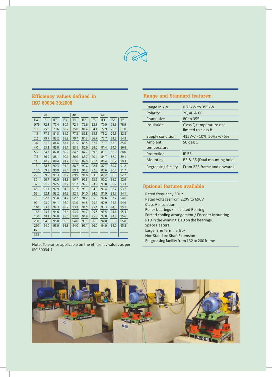

# **Efficiency values defined in IEC 60034-30:2008**

|      | 2P   |                 |                 | 4P   |                 |                 | 6P   |                 |                 |
|------|------|-----------------|-----------------|------|-----------------|-----------------|------|-----------------|-----------------|
| kW   | IE1  | IE <sub>2</sub> | IE <sub>3</sub> | IE1  | IE <sub>2</sub> | IE <sub>3</sub> | IE1  | IE <sub>2</sub> | IE <sub>3</sub> |
| 0.75 | 72.1 | 77.4            | 80.7            | 72.1 | 79.6            | 82.5            | 70.0 | 75.9            | 78.9            |
| 1.1  | 75.0 | 79.6            | 82.7            | 75.0 | 81.4            | 84.1            | 72.9 | 78.1            | 81.0            |
| 1.5  | 77.2 | 81.3            | 84.2            | 77.2 | 82.8            | 85.3            | 75.2 | 79.8            | 82.5            |
| 2.2  | 79.7 | 83.2            | 85.9            | 79.7 | 84.3            | 86.7            | 77.7 | 81.8            | 84.3            |
| 3.0  | 81.5 | 84.6            | 87.1            | 81.5 | 85.5            | 87.7            | 79.7 | 83.3            | 85.6            |
| 4.0  | 83.1 | 85.8            | 88.1            | 83.1 | 86.6            | 88.6            | 81.4 | 84.6            | 86.8            |
| 5.5  | 84.7 | 87.0            | 89.2            | 84.7 | 87.7            | 89.6            | 83.1 | 86.0            | 88.0            |
| 7.5  | 86.0 | 88.1            | 90.1            | 86.0 | 88.7            | 90.4            | 84.7 | 87.2            | 89.1            |
| 11   | 87.6 | 89.4            | 91.2            | 87.6 | 89.8            | 91.4            | 86.4 | 88.7            | 90.3            |
| 15   | 88.7 | 90.3            | 91.9            | 88.7 | 90.6            | 92.1            | 87.7 | 89.7            | 91.2            |
| 18.5 | 89.3 | 90.9            | 92.4            | 89.3 | 91.2            | 92.6            | 88.6 | 90.4            | 91.7            |
| 22   | 89.9 | 91.3            | 92.7            | 89.9 | 91.6            | 93.0            | 89.2 | 90.9            | 92.2            |
| 30   | 90.7 | 92.0            | 93.3            | 90.7 | 92.3            | 93.6            | 90.2 | 91.7            | 92.9            |
| 37   | 91.2 | 92.5            | 93.7            | 91.2 | 92.7            | 93.9            | 90.8 | 92.2            | 93.3            |
| 45   | 91.7 | 92.9            | 94.0            | 91.7 | 93.1            | 94.2            | 91.4 | 92.7            | 93.7            |
| 55   | 92.1 | 93.2            | 94.3            | 92.1 | 94.0            | 94.6            | 91.9 | 93.7            | 94.1            |
| 75   | 92.7 | 93.8            | 94.7            | 92.7 | 94.2            | 95.0            | 92.6 | 93.7            | 94.6            |
| 90   | 93.0 | 94.1            | 95.0            | 93.0 | 94.5            | 95.2            | 92.9 | 94.3            | 94.9            |
| 110  | 93.3 | 94.3            | 95.2            | 93.3 | 94.5            | 95.4            | 93.3 | 94.3            | 95.1            |
| 132  | 93.5 | 94.6            | 95.4            | 93.5 | 94.7            | 95.6            | 93.5 | 94.6            | 95.4            |
| 160  | 93.8 | 94.8            | 95.6            | 93.8 | 94.9            | 95.8            | 93.8 | 94.8            | 95.6            |
| 200  | 94.0 | 95.0            | 95.8            | 94.0 | 95.1            | 96.0            | 94.0 | 95.0            | 95.8            |
| 250  | 94.0 | 95.0            | 95.8            | 94.0 | 95.1            | 96.0            | 94.0 | 95.0            | 95.8            |
| to   |      |                 |                 |      |                 |                 |      |                 |                 |
| 375  |      |                 |                 |      |                 |                 |      |                 |                 |

Note: Tolerance applicable on the efficiency values as per IEC 60034-1

# **Range and Standard features:**

| Range in kW            | 0.75kW to 355kW                                 |
|------------------------|-------------------------------------------------|
| Polarity               | 2P, 4P & 6P                                     |
| Frame size             | 80 to 355L                                      |
| Insulation             | Class F, temperature rise<br>limited to class B |
| Supply condition       | 415V+/ -10%, 50Hz +/-5%                         |
| Ambient<br>temperature | 50 deg C                                        |
| Protection             | <b>IP 55</b>                                    |
| Mounting               | B3 & B5 (Dual mounting hole)                    |
| Regreasing facility    | From 225 frame and onwards                      |

#### **Optional features available**

- · Rated frequency 60Hz
- · Rated voltages from 220V to 690V
- · Class H insulation
- · Roller bearings / Insulated Bearing
- · Forced cooling arrangement / Encoder Mounting
- · RTD in the winding, BTD on the bearings,
- · Space Heaters
- · Larger Size Terminal Box
- · Non Standard Shaft Extension
- · Re-greasing facility from 132 to 200 frame

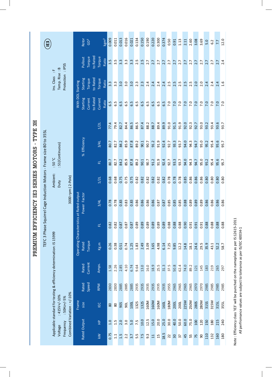| IE <sub>3</sub>                                                                          |                                           | Rotor<br>GD <sup>2</sup>  |                     | $\overline{\text{kgm}}^2$ | 0.009            | 0.011            | 0.013             | 0.016            | 0.021            | 0.134 | 0.150             | 0.190            | 0.220           | 0.300 | 0.374 | 0.50              | 0.91        | 1.13            | 2.11 | 2.60 | 3.08        | 3.69 | 5.0  | 6.2               | 7.7  | 12.0             |
|------------------------------------------------------------------------------------------|-------------------------------------------|---------------------------|---------------------|---------------------------|------------------|------------------|-------------------|------------------|------------------|-------|-------------------|------------------|-----------------|-------|-------|-------------------|-------------|-----------------|------|------|-------------|------|------|-------------------|------|------------------|
| $\ddot{a}$<br>4.                                                                         |                                           | Torque<br>Pullout         | to Rated<br>Torque  | Ratio                     | 3.5              | 3.5              | 3.3               | $3.\overline{3}$ | $3.\overline{3}$ | 2.5   | 2.5               | 2.7              | 2.7             | 2.7   | 2.7   | 2.7               | 2.7         | 2.7             | 2.7  | 2.7  | 2.7         | 2.7  | 2.7  | 2.7               | 2.7  | 2.4              |
| Protection : IP55<br>Temp. Rise<br>Ins. Class                                            |                                           | <b>Starting</b><br>Torque | to Rated<br>Torque  | Ratio                     | $3.\overline{3}$ | $3.\overline{3}$ | 3.0               | 3.0              | 3.0              | 2.3   | 2.3               | 2.4              | 2.4             | 2.4   | 2.4   | 2.5               | 2.5         | 2.5             | 2.5  | 2.5  | 2.0         | 2.0  | 2.4  | 2.4               | 2.4  | 1.6              |
|                                                                                          | With DOL Starting                         | Starting<br>Current       | to Rated<br>Current | Ratio                     | 6.5              | 5.9              | $\overline{6}$ .5 | 6.5              | 6.5              | 6.5   | $\overline{6}$ .5 | 6.5              | 6.5             | 5.9   | 6.5   | $\overline{7}$ .0 | 7.0         | 7.0             | 7.0  | 7.0  | 7.0         | 7.0  | 7.0  | $\overline{7}$ .0 | 7.0  | $\overline{7.0}$ |
|                                                                                          |                                           |                           | 1/21                |                           | 77.4             | 79.4             | 82.7              | 84.4             | 86.5             | 86.5  | 87.4              | 88.2             | 88.7            | 89.4  | 89.9  | 91.0              | 91.5        | 91.9            | 92.0 | 92.3 | 92.7        | 93.0 | 93.2 | 93.4              | 93.6 | 93.7             |
|                                                                                          |                                           | % Efficiency              | 3/41                |                           | 80.7             | 82.7             | 84.2              | 85.9             | 87.8             | 89.2  | 90.1              | 90.7             | 91.2            | 91.9  | 92.4  | 92.7              | 93.3        | 93.7            | 94.0 | 94.3 | 94.7        | 95.0 | 95.2 | 95.4              | 95.6 | 95.7             |
| : S1(Continuous)<br>50 °C                                                                |                                           |                           | 군                   |                           | 80.7             | 82.7             | 84.2              | 85.9             | 87.8             | 89.2  | 90.1              | 90.7             | 91.2            | 91.9  | 92.4  | 92.7              | 93.3        | 93.7            | 94.0 | 94.3 | 94.7        | 95.0 | 95.2 | 95.4              | 95.6 | 95.7             |
| Ambient:<br>Duty                                                                         |                                           |                           | 1/2L                |                           | 0.68             | 0.68             | 0.75              | 0.75             | 0.75             | 0.82  | 0.82              | 0.82             | 0.82            | 0.82  | 0.82  | 0.78              | 0.78        | 0.78            | 0.85 | 0.86 | 0.86        | 0.86 | 0.80 | 0.80              | 0.80 | 0.80             |
| TEFC 3 Phase Squirrel Cage Induction Motors - Frame size 80 to 355L<br>3000 rpm (2-Pole) | Operating Characteristics at Rated output | Power Factor              | 3/41                |                           | 0.78             | 0.78             | 0.83              | 0.83             | 0.83             | 0.86  | 0.86              | 0.86             | 0.86            | 0.87  | 0.87  | 0.85              | 0.85        | 0.85            | 0.88 | 0.89 | 0.89        | 0.89 | 0.86 | 0.86              | 0.86 | 0.86             |
|                                                                                          |                                           |                           | 군                   |                           | 0.82             | 0.82             | 0.87              | 0.87             | 0.87             | 0.89  | 0.89              | 0.89             | 0.89            | 0.89  | 0.89  | 0.88              | 0.88        | 0.88            | 0.90 | 0.91 | 0.91        | 0.91 | 0.88 | 0.88              | 0.88 | 0.88             |
| Applicable standard for testing & efficiency determination: IS 15999                     |                                           | Torque<br>Rated           | Kg.m                |                           | 0.26             | 0.38             | 0.51              | 0.74             | 1.25             | 1.83  | 2.49              | 3.09             | 3.65            | 4.98  | 6.14  | 7.25              | 9.85        | 12.2            | 14.8 | 18.1 | 24.6        | 29.5 | 35.9 | 43.1              | 52.2 | 58.7             |
|                                                                                          |                                           | Current<br>Rated          | Amps.               |                           | 1.58             | 2.26             | 2.85              | 4.10             | 6.74             | 9.64  | 13.0              | 16.0             | 18.9            | 25.5  | 31.3  | 37.5              | 50.8        | 62.4            | 74.0 | 89.2 | 121         | 145  | 183  | 219               | 265  | 297              |
|                                                                                          |                                           | Speed<br>Rated            | <b>RPM</b>          |                           | 2830             | 2830             | 2885              | 2885             | 2885             | 2935  | 2935              | 2935             | 2935            | 2935  | 2935  | 2955              | 2965        | 2965            | 2965 | 2965 | 2970        | 2970 | 2985 | 2985              | 2985 | 2985             |
| Combined Variation: +/-10%<br>$:415V+/-10%$<br>$:50Hz+/-5%$                              | Frame                                     | size                      | LEC                 |                           | 80               | 80               | 90S               | 50 <sub>1</sub>  | 100L             | 1325  | 132S              | 160M             | 160M            | 160M  | 160L  | 180M              | <b>200L</b> | <b>200L</b>     | 225M | 250M | <b>280S</b> | 280M | 315S | 315M              | 315L | 355L             |
| Frequency                                                                                |                                           | <b>Rated Output</b>       | 운                   |                           | 1.0              | 1.5              | 2.0               | 3.0              | 5.0              | 7.5   | 10.0              | 12.5             | 15.0            | 20.0  | 25.0  | 30.0              | 40.0        | 50.0            | 60.0 | 75.0 | 200         | 120  | 150  | 180               | 215  | 240              |
| Voltage                                                                                  |                                           |                           | $\geq$              |                           | 0.75             | 1.1              | 1.5               | 2.2              | 3.7              | 5.3   | 7.5               | $9.\overline{3}$ | $\overline{11}$ | 15    | 18.5  | 22                | 30          | $\overline{37}$ | 45   | 55   | 75          | 90   | 110  | 132               | 160  | 180              |

PREMIUM EFFICIENCY IE3 SERIES MOTORS - TYPE 3H **PREMIUM EFFICIENCY IE3 SERIES MOTORS - TYPE 3H**

Note : Efficiency class 'IE3' will be punched on the nameplate as per IS:12615-2011<br>All perfromance values are subject to tolerance as per IS/IEC 60034-1 Note : Efficiency class 'IE3' will be punched on the nameplate as per IS:12615-2011

All perfromance values are subject to tolerance as per IS/IEC 60034-1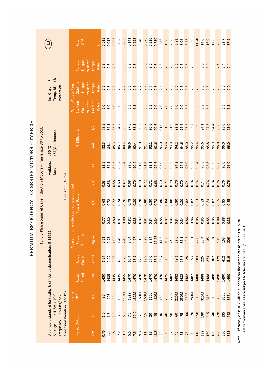|                                        | IE3                                                                                                   |                                           | Rotor<br>GD <sup>2</sup>              | kgm <sup>2</sup>  | 0.015 | 0.017 | 0.023 | 0.028         | 0.066 | 0.141         | 0.193        | 0.340            | 0.375 | 0.520          | 0.750                                     | 0.86   | 1.38        | 2.30 | 2.83       | 3.06             | 5.53                                                                           | 6.36            | 11.70 | 14.0          | 16.9             | 17.8                 | 23.3                         | 32.7                      | 37.9          |
|----------------------------------------|-------------------------------------------------------------------------------------------------------|-------------------------------------------|---------------------------------------|-------------------|-------|-------|-------|---------------|-------|---------------|--------------|------------------|-------|----------------|-------------------------------------------|--------|-------------|------|------------|------------------|--------------------------------------------------------------------------------|-----------------|-------|---------------|------------------|----------------------|------------------------------|---------------------------|---------------|
|                                        |                                                                                                       |                                           | to Rated<br>Torque<br>Pullout         | Torque<br>Ratio   | 2.8   | 2.8   | 2.8   | $\frac{0}{3}$ | 3.0   | $\frac{8}{2}$ | 2.8          |                  | 3.0   | $\frac{0}{3}$  | $\begin{array}{c} 2.8 \\ 2.8 \end{array}$ |        | 2.6         | 2.6  |            |                  | $\begin{array}{c} 66 \\ 240 \\ 040 \\ 040 \\ 040 \\ 040 \\ \hline \end{array}$ |                 | 3.0   | 3.0           | 3.0              | 3.0                  | 2.4                          | 2.4                       | 2.4           |
|                                        | Protection : IP55<br>Temp. Rise: B<br>$\ddot{ }$ :<br>Ins. Class                                      | With DOL Starting                         | to Rated<br><b>Starting</b><br>Torque | Torque<br>Ratio   | 2.5   | 2.5   | 2.5   | 2.6           | 2.7   | 2.6           | 2.6          | $\overline{2.7}$ | 2.7   | 2.7            | 2.6                                       | 2.6    | 2.6         | 2.6  | 2.6        | $\frac{6}{2}$    | 2.5                                                                            | $\frac{1}{2.5}$ | 2.5   | $\frac{5}{2}$ | 2.5              | $\frac{1}{2.5}$      | 2.0                          | 2.0                       | 2.0           |
|                                        |                                                                                                       |                                           | to Rated<br>Starting<br>Current       | Current<br>Ratio  | 6.0   | 6.0   | 6.0   | 6.0           | 6.5   | 6.5           | 6.5          | $\frac{5}{6}$    | 6.5   | 6.5            | 7.0                                       | 7.0    | 7.0         | 7.0  | 7.0        | $\overline{7.0}$ | 6.5                                                                            | $\frac{5}{6}$   | 6.8   | 6.8           | $\overline{6.5}$ | 59                   | 6.5                          | 5.9                       | $\frac{5}{6}$ |
| 3H                                     |                                                                                                       |                                           | % Efficiency                          | $\overline{1/2L}$ | 79.5  | 82.1  | 83.3  | 84.7          | 86.5  | 87.6          | 88.5         | 89.2             | 89.7  | 90.6           | 90.6                                      | 91.0   | 91.6        | 91.9 | 92.2       | 92.6             | 93.5                                                                           | 93.7            | 93.9  | 94.1          | 94.3             | 94.4                 | 95.0                         | 95.0                      | 95.0          |
|                                        | : S1(Continuous)<br>$50^{\circ}$ C                                                                    |                                           |                                       | 3/4L              | 82.5  | 84.1  | 85.3  | 86.7          | 88.4  | 89.6          | 90.4         | 91.0             | 91.4  | 92.1           | 92.6                                      | 93.0   | 93.6        | 93.9 | 94.2       | 94.6             | 95.0                                                                           | 95.2            | 95.4  | 95.6          | 95.8             | 95.9                 | 96.0                         | 96.0                      | 96.0          |
|                                        | Ambient:<br>Duty                                                                                      |                                           |                                       | 군                 | 82.5  | 84.1  | 85.3  | 86.7          | 88.4  | 89.6          | 90.4         | 91.0             | 91.4  | 92.1           | 92.6                                      | 93.0   | 93.6        | 93.9 | 94.2       | 94.6             | 95.0                                                                           | 95.2            | 95.4  | 95.6          | 95.8             | 95.9                 | 96.0                         | 96.0                      | 96.0          |
|                                        | 1500 rpm (4-Pole)                                                                                     |                                           |                                       | $\overline{1/2L}$ | 0.53  | 0.58  | 0.58  | 0.60          | 0.62  | 0.68          | 0.70         | 0.70             | 0.72  | 0.72           | 0.68                                      | 0.70   | 0.77        | 0.70 | 0.70       | 0.70             | 0.74                                                                           | 0.74            | 0.74  | 0.74          | 0.76             | 0.74                 | 0.76                         | 0.76                      | 0.76          |
| <b>CIENCY IE3 SERIES MOTORS - TYPE</b> | TEFC 3 Phase Squirrel Cage Induction Motors - Frame size 80 to 355                                    | Operating Characteristics at Rated output | Power Factor                          | 3/4L              | 0.68  | 0.72  | 0.72  | 0.74          | 0.76  | 0.78          | 0.80         | 0.78             | 0.80  | 0.80           | 0.78                                      | 0.80   | 0.84        | 0.80 | 0.80       | 0.80             | 0.82                                                                           | 0.82            | 0.83  | 0.83          | 0.83             | 0.82                 | 0.85                         | 0.85                      | 0.85          |
|                                        |                                                                                                       |                                           |                                       | 군                 | 0.77  | 0.80  | 0.81  |               | 0.80  | 0.82          | 0.83<br>0.82 |                  | 0.84  |                |                                           | 0.85   | 0.87        | 0.84 |            |                  |                                                                                |                 |       |               |                  | ∣ ഗ<br>$\frac{8}{2}$ | $\infty$<br>$0.\overline{8}$ | $\infty$<br>$\frac{8}{2}$ | 0.88          |
| PREMIUM EFFI                           |                                                                                                       |                                           | Torque<br>Rated                       | Kg.m              | 0.51  | 0.75  | 1.02  | 1.49          | 2.48  | 3.64          | 4.97         | 6.16             | 7.29  | 9.94           | 12.26                                     | 14.6   | 19.8        | 24.3 | 29.6       | 36.1             | 49.3                                                                           | 59.1            | 72.0  | 86.4          | 105              | 118                  | 131                          | 163                       | 206           |
|                                        |                                                                                                       |                                           | Current<br>Rated                      | Amps.             | 1.64  | 2.27  | 3.06  | 4.36          | 7.28  | 10.4          | 13.9         | 17.3             | 19.9  | 27.0           | 33.1                                      | 38.7   | 51.3        | 65.3 | 79.1       | 96.3             | 128                                                                            | 153             | 189   | 226           | 273              | 307                  | 329                          | 412                       | 519           |
|                                        |                                                                                                       |                                           | Speed<br>Rated                        | <b>RPM</b>        | 1430  | 1435  | 1435  | 1435          | 1455  | 1470          | 1470         | 1470             | 1470  | 1470           | 1470                                      | 1470   | 1475        | 1482 | 1482       | 1482             | 1482                                                                           | 1482            | 1488  | 1488          | 1488             | 1488                 | 1490                         | 1490                      | 1490          |
|                                        | Applicable standard for testing & efficiency determination: IS 15999<br>$:415V+/-10%$<br>$:50Hz+/-5%$ | Frame                                     | size                                  | E                 | 80    | 90S   | 90L   | 100L          | 112M  | 1325          | 132M         | 160M             | 160M  | 160L           | 180M                                      | 180L   | <b>200L</b> | 225S | 225M       | 250M             | <b>280S</b>                                                                    | 280M            | 315S  | 315M          | 315L             | 315L                 | 355L                         | 35 <sub>5L</sub>          | 355L          |
|                                        | Combined Variation: +/-10%                                                                            |                                           |                                       | $\hat{\pm}$       | 1.0   | 1.5   | 2.0   | 3.0           | 5.0   | 7.5           | 10.0         | 12.5             | 15    | $\overline{c}$ | 25                                        | $30\,$ | 40          | 50   | $\mbox{G}$ | 75               | 100                                                                            | 120             | 150   | 180           | 215              | 240                  | 270                          | 335                       | 422           |
|                                        | Frequency<br>Voltage                                                                                  |                                           | Rated Output                          | $\geq$            | 0.75  | 1.1   | 1.5   | 2.2           | 3.7   | $\frac{5}{5}$ | 7.5          | 9.3              | $\Xi$ | 15             | 18.5                                      | 22     | 30          | 57   | 45         | 55               | 75                                                                             | $\mathsf{S}$    | 110   | 132           | 160              | 180                  | 200                          | 250                       | 315           |

Note : Efficiency class 'IE3' will be punched on the nameplate as per IS:12615-2011<br>All perfromance values are subject to tolerance as per IS/IEC 60034-1 Note : Efficiency class 'IE3' will be punched on the nameplate as per IS:12615-2011 All perfromance values are subject to tolerance as per IS/IEC 60034-1

# PREMIUM EFFICIENCY IE3 SERIES MOTORS - TYPE 3H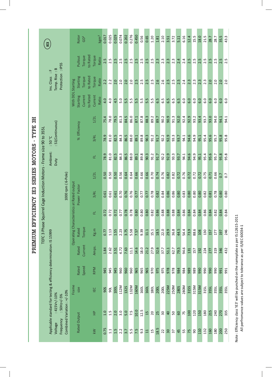|                                 |                                                                     | IE3                                                                                                                                    |                                           | Rotor               | GD <sup>2</sup> |                          | kgm <sup>2</sup> | 0.017    | 0.025     | 0.029 | 0.074 | 0.202 | 0.276 | 0.450 | 0.56             | 0.65            | 1.20 | 1.81        | 2.10        | 3.51           | 3.72             | 5.11        | 6.16 | 12.4 | 15.5             | 18.0 | 21.5             | 28.7     | 28.7 | 35.5 | 43.3           |
|---------------------------------|---------------------------------------------------------------------|----------------------------------------------------------------------------------------------------------------------------------------|-------------------------------------------|---------------------|-----------------|--------------------------|------------------|----------|-----------|-------|-------|-------|-------|-------|------------------|-----------------|------|-------------|-------------|----------------|------------------|-------------|------|------|------------------|------|------------------|----------|------|------|----------------|
|                                 |                                                                     | ÷.                                                                                                                                     |                                           | Pullout             | Torque          | to Rated<br>Torque       | Ratio            | 2.5      | 2.5       | 2.5   | 2.5   | 2.5   | 2.5   | 2.5   | 2.5              | 2.5             | 2.5  | 2.3         | 2.3         | 2.3            | $2.\overline{3}$ | 2.4         | 2.4  | 2.5  | 2.5              | 2.5  | 2.5              | 2.5      | 2.5  | 2.5  | 2.5            |
|                                 |                                                                     | Protection : IP55<br>Temp. Rise: B<br>Ins. Class                                                                                       |                                           | Starting            | Torque          | to Rated<br>Torque       | Ratio            | 2.2      | 2.2       | 2.0   | 2.0   | 2.0   | 2.0   | 2.5   | 2.5              | 2.5             | 2.5  | 2.6         | 2.6         | 2.5            | 2.5              | 2.5         | 2.4  | 2.3  | $2.\overline{3}$ | 2.3  | $2.\overline{3}$ | 2.0      | 2.0  | 2.0  | 2.0            |
|                                 |                                                                     |                                                                                                                                        | With DOL Starting                         | Starting            | Current         | to Rated<br>Current      | Ratio            | 4.0      | 4.0       | 4.5   | 5.0   | 5.5   | 5.5   | 5.5   | rÙ.<br>Lo        | 5.5             | 5.5  | 6.5         | 6.5         | 6.5            | 5.9              | 6.5         | 6.0  | 6.0  | 6.0              | 6.0  | 6.0              | <u>0</u> | 6.0  | 6.0  | 6.0            |
| 5H                              |                                                                     |                                                                                                                                        |                                           | % Efficiency        |                 | 1/2L                     |                  | 75.4     | 78.0      | 79.5  | 81.3  | 84.5  | 86.0  | 87.1  | 87.8             | 88.3            | 89.2 | 89.7        | 90.2        | 90.9           | 91.3             | 92.0        | 92.4 | 92.9 | 93.2             | 93.4 | 93.7             | 93.0     | 94.0 | 94.1 | 94.1           |
| CIENCY IE3 SERIES MOTORS - TYPE | TEFC 3 Phase Squirrel Cage Induction Motors - Frame size 90 to 355L | : S1(Continuous)<br>$50^{\circ}$ C                                                                                                     |                                           |                     |                 | 3/4L                     |                  | 78.9     | 81.0      | 82.5  | 84.3  | 86.5  | 88.0  | 89.1  | 89.8             | 90.3            | 91.2 | 91.7        | 92.2        | 92.9           | 93.3             | 93.7        | 94.1 | 94.6 | 94.9             | 95.1 | 95.4             | 95.6     | 95.7 | 95.8 | 95.8           |
|                                 |                                                                     | Ambient:<br>Duty                                                                                                                       |                                           |                     |                 | 군                        |                  | ō<br>78. | 81.0      | 82.5  | 84.3  | 86.5  | 88.0  | 89.1  | 89.8             | 90.3            | 91.2 | 91.7        | 92.2        | 92.9           | 93.3             | 93.7        | 94.1 | 94.6 | 94.9             | 95.1 | 95.4             | 95.6     | 95.7 | 95.8 | 95.8           |
|                                 |                                                                     | 1000 rpm (6-Pole)                                                                                                                      |                                           |                     |                 | 1/2L                     |                  | 0.50     | 0.50      | 0.50  | 0.56  | 0.64  | 0.64  | 0.66  | 0.66             | 0.66            | 0.70 | 0.74        | 0.76        | 0.82           | 0.82             | 0.72        | 0.76 | 0.72 | 0.72             | 0.72 | 0.75             | 0.71     | 0.66 | 0.7  | $\overline{0}$ |
|                                 |                                                                     |                                                                                                                                        | Operating Characteristics at Rated output | Power Factor        |                 | 3/41                     |                  | 0.61     | 0.61      | 0.61  | 0.70  | 0.76  | 0.76  | 0.77  | 0.77             | 0.77            | 0.78 | 0.82        | 0.84        | 0.86           | 0.86             | 0.80        | 0.83 | 0.80 | 0.80             | 0.80 | 0.82             | 0.81     | 0.78 | 0.80 | 0.80           |
|                                 |                                                                     |                                                                                                                                        |                                           |                     |                 | 군                        |                  | 0.72     | 0.72      | 0.72  | 0.77  | 0.78  | 0.78  | 0.80  | 0.80             | 0.80            | 0.82 | 0.86        | 0.88        | 0.88           | 0.88             | 0.84        | 0.86 | 0.84 | 0.84             | 0.84 | 0.86             | 0.84     | 0.82 | 0.84 | 0.84           |
| PREMIUM EFFI                    |                                                                     |                                                                                                                                        |                                           | Rated               | Torque          | $\overline{\text{kg.m}}$ |                  | 0.77     | 1.13      | 1.55  | 2.23  | 3.75  | 5.58  | 7.57  | 9.39             | 11.1            | 15.1 | 18.5        | 22.0        | 29.9           | 36.8             | 44.5        | 54.4 | 73.9 | 88.6             | 108  | 130              | 157      | 177  | 197  | 246            |
|                                 |                                                                     |                                                                                                                                        |                                           | Rated               | Current         | Amps.                    |                  | 1.84     | 2.62      | 3.51  | 4.72  | 7.63  | 11.1  | 14.6  | 18.0             | 21.2            | 27.9 | 32.6        | 37.7        | 51.1           | 62.7             | 79.5        | 94.6 | 131  | 157              | 192  | 224              | 277      | 319  | 346  | 432            |
|                                 |                                                                     |                                                                                                                                        |                                           | Rated               | Speed           | <b>RPM</b>               |                  | 945      | 945       | 945   | 960   | 960   | 960   | 965   | 965              | 965             | 970  | 975         | 975         | 978            | 978              | 984         | 984  | 989  | 989              | 990  | 990              | 990      | 990  | 991  | 991            |
|                                 |                                                                     |                                                                                                                                        | Frame                                     | size                |                 | <b>IEC</b>               |                  | 90S      | <b>DG</b> | 100L  | 112M  | 132S  | 132M  | 160M  | 160L             | <b>160L</b>     | 180L | <b>200L</b> | <b>200L</b> | 225M           | 250M             | <b>280S</b> | 280M | 315S | 315M             | 315M | 315L             | 355L     | 355L | 355L | 355L           |
|                                 |                                                                     | Applicable standard for testing & efficiency determination: IS 15999<br>Combined Variation: +/-10%<br>$:415V + / -10%$<br>$:50Hz+/-5%$ |                                           |                     |                 | 운                        |                  | 1.0      | 1.5       | 2.0   | 3.0   | 5.0   | 7.5   | 10.0  | 12.5             | 15              | 20   | 25          | 50          | $\overline{a}$ | 50               | 60          | 75   | 100  | 120              | 150  | 180              | 215      | 240  | 270  | 335            |
|                                 |                                                                     | Frequency<br>Voltage                                                                                                                   |                                           | <b>Rated Output</b> |                 | KW                       |                  | 0.75     | 1.1       | 1.5   | 2.2   | 3.7   | 5.5   | 7.5   | $9.\overline{3}$ | $\overline{11}$ | 15   | 18.5        | 22          | 30             | $\overline{37}$  | 45          | 55   | 75   | 90               | 110  | 132              | 160      | 180  | 200  | 250            |

 $\overline{\phantom{a}}$ 

Note : Efficiency class 'IE3' will be punched on the nameplate as per IS:12615-2011<br>All perfromance values are subject to tolerance as per IS/IEC 60034-1 Note : Efficiency class 'IE3' will be punched on the nameplate as per IS:12615-2011

All perfromance values are subject to tolerance as per IS/IEC 60034-1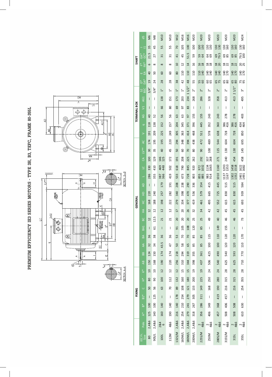PREMIUM EFFICIENCY IE3 SERIES MOTORS - TYPE 3H, B3, TEFC, FRAME 80-355L **PREMIUM EFFICIENCY IE3 SERIES MOTORS - TYPE 3H, B3, TEFC, FRAME 80-355L** 



|                     | 冶                            | Μ6                                                                                                                                                                                                                                                                                                                                                                                                             | 8M             | M10             | <b>M10</b>      | M12             | M16            | M16             | <b>M20</b>     | <b>M20</b>      | <b>M20</b>                                | <b>M20</b>     | <b>M20</b>       | <b>M20</b>               | M24                                                                                                                                                                                                                                                                                                                                                                                                            |
|---------------------|------------------------------|----------------------------------------------------------------------------------------------------------------------------------------------------------------------------------------------------------------------------------------------------------------------------------------------------------------------------------------------------------------------------------------------------------------|----------------|-----------------|-----------------|-----------------|----------------|-----------------|----------------|-----------------|-------------------------------------------|----------------|------------------|--------------------------|----------------------------------------------------------------------------------------------------------------------------------------------------------------------------------------------------------------------------------------------------------------------------------------------------------------------------------------------------------------------------------------------------------------|
|                     | - <u>a</u>                   | 35                                                                                                                                                                                                                                                                                                                                                                                                             | 45             | 55              | 55              | 70              | 105            | 100             | 100            | 100<br>130      | $\begin{array}{c} 130 \\ 130 \end{array}$ | 130<br>130     | 130<br>160       | 130<br>160               | 130<br>160                                                                                                                                                                                                                                                                                                                                                                                                     |
|                     | t<br>GC<br>*<br>GA           | 21.5                                                                                                                                                                                                                                                                                                                                                                                                           | 27             | $\overline{31}$ | $\approx$       | 41              | 45             | 51.5            | 59             | <b>59 G</b>     | <b>29</b>                                 | 69<br>79.5     | 88               | <b>85</b>                | 79.5<br>100                                                                                                                                                                                                                                                                                                                                                                                                    |
| <b>SHAFT</b>        | $FA*$<br>ᄮ                   | 9                                                                                                                                                                                                                                                                                                                                                                                                              | $\infty$       | $\infty$        | ${}^{\circ}$    | $\overline{10}$ | $\overline{c}$ | $\overline{14}$ | $\frac{1}{6}$  | 16 <sup>2</sup> | $\frac{8}{18}$                            | $\frac{8}{20}$ | $\frac{18}{22}$  | $\frac{18}{22}$          | 25                                                                                                                                                                                                                                                                                                                                                                                                             |
|                     | ш ქ                          | $\overline{a}$                                                                                                                                                                                                                                                                                                                                                                                                 | 50             | 8               | 8               | 80              | 110            | 110             | 110            | 1140            | 140<br>140                                | 140<br>140     | 140<br>170       | 140                      | 140<br>170                                                                                                                                                                                                                                                                                                                                                                                                     |
|                     | **a                          | $\overline{19}$                                                                                                                                                                                                                                                                                                                                                                                                | 24             | 28              | 28              | 38              | $\overline{4}$ | 48              | 55             | 55              | 89                                        | 65             | 65               | 65                       | <b>75</b>                                                                                                                                                                                                                                                                                                                                                                                                      |
|                     | <b>BSC</b><br>S <sub>2</sub> | 3/4"                                                                                                                                                                                                                                                                                                                                                                                                           | 3/4"           | 뒥               | 뒥               | $\ddot{ }$      | Ë              | 11/2"           | ត់             | ้า              | ้ัง                                       | $\bar{c}$      | ้ัง              | 21/2"                    | ణ్                                                                                                                                                                                                                                                                                                                                                                                                             |
|                     | AG1                          | $\overline{\phantom{a}}$                                                                                                                                                                                                                                                                                                                                                                                       | I              | 138             | 151             | 173             | 203            | 234             | 268            | 286             | 328                                       | 358            | 413              | 413                      | 495                                                                                                                                                                                                                                                                                                                                                                                                            |
| <b>TERMINAL BOX</b> | $\overline{z}$               | $\overline{\phantom{a}}$                                                                                                                                                                                                                                                                                                                                                                                       | I              | 66              | 80              | 69              | 5              | 83              | I              | $\mathsf{I}$    | I                                         | I              | I                | $\overline{\phantom{a}}$ | I                                                                                                                                                                                                                                                                                                                                                                                                              |
|                     | Q                            | $\overline{a}$                                                                                                                                                                                                                                                                                                                                                                                                 | 52             | 56              | 56              | 63              | යි             | 50              | 155            | 155             | 243                                       | 243            | 278              | 278                      | 403                                                                                                                                                                                                                                                                                                                                                                                                            |
|                     | $\sigma$                     | 118                                                                                                                                                                                                                                                                                                                                                                                                            | 138            | 152             | 157             | 204             | 345            | 371             | 396            | 445             | 352                                       | 360            | 386<br>416       | 386<br>416               | 434<br>464                                                                                                                                                                                                                                                                                                                                                                                                     |
|                     | $\geq$                       | 191                                                                                                                                                                                                                                                                                                                                                                                                            | 209            | 225             | 249             | 305             | 363            | 414             | 468            | 511             | 578                                       | 638            | 728              | 728                      | 850                                                                                                                                                                                                                                                                                                                                                                                                            |
|                     | <b>J</b>                     | 174                                                                                                                                                                                                                                                                                                                                                                                                            | 195            | 195             | 220             | 294             | 348            | 394             | 438            | 472             | 489                                       | 544            | 604              | 604                      | 695                                                                                                                                                                                                                                                                                                                                                                                                            |
|                     | $_{\rm 1}$                   | 30                                                                                                                                                                                                                                                                                                                                                                                                             | 35             | $\overline{a}$  | 45              | 50              | 8              | 20              | 80             | 90              | 100                                       | 115            | 130              | 130                      | 145                                                                                                                                                                                                                                                                                                                                                                                                            |
|                     | S                            | 100                                                                                                                                                                                                                                                                                                                                                                                                            | 129            | 146<br>125      | 172             | 191             | 208            | 225             | 262            | 292             | 337<br>268                                | 271            | 240              | 454                      | 458                                                                                                                                                                                                                                                                                                                                                                                                            |
|                     | $\overline{C}$               | 330                                                                                                                                                                                                                                                                                                                                                                                                            | 410            | 469<br>448      | 502             | 618             | 790            | 845             | 920            | 1032<br>972     | 1134<br>1065                              | 1160           | 1293<br>1353     | 1458<br>1518             | 1622<br>1682                                                                                                                                                                                                                                                                                                                                                                                                   |
|                     | ⊐                            | 286                                                                                                                                                                                                                                                                                                                                                                                                            | 355            | 387<br>366      | 419             | 533             | 673            | 728             | 803            | 855             | 88<br>914                                 | 1010           | $1137$<br>$1167$ | 1302<br>1332             | 1461<br>1491                                                                                                                                                                                                                                                                                                                                                                                                   |
|                     | $\overline{4}$               | $\overline{\phantom{a}}$                                                                                                                                                                                                                                                                                                                                                                                       | T              | 179             | 191             | 208             | 238            | 290             | 336            | 354             | 415                                       | 445            | 515              | 515                      | 584                                                                                                                                                                                                                                                                                                                                                                                                            |
|                     | $\frac{1}{2}$                | 220                                                                                                                                                                                                                                                                                                                                                                                                            | 240            | 257             | 282             | 340             | 398            | 470             | 536            | 579             | 665                                       | 725            | 830              | 830                      | 939                                                                                                                                                                                                                                                                                                                                                                                                            |
| GENERAL             | $\frac{0}{1}$                | 168                                                                                                                                                                                                                                                                                                                                                                                                            | 188            | 198             | 222             | 279             | 334            | 377             | 419            | 461             | 495                                       | 552            | 615              | 615                      | 693                                                                                                                                                                                                                                                                                                                                                                                                            |
|                     | $\widetilde{\pm}$            | 12                                                                                                                                                                                                                                                                                                                                                                                                             | 12             | 12              | $\overline{c}$  | 17              | 20             | 26              | 32             | 34              | $\overline{4}$                            | 42             | 45               | 45                       | 45                                                                                                                                                                                                                                                                                                                                                                                                             |
|                     | BC                           | $\overline{12}$                                                                                                                                                                                                                                                                                                                                                                                                | 12.5           | 21              | $\overline{c}$  | 20              | 20             | 20              | 25             | 25              | 49                                        | $\overline{a}$ | 46               | 46                       | 73                                                                                                                                                                                                                                                                                                                                                                                                             |
|                     | B <sub>A1</sub>              | I                                                                                                                                                                                                                                                                                                                                                                                                              | 5              | I               | I               | 5 <sup>1</sup>  | 105            | 108             | 120            | 85              | I                                         | 149            | 155              | I                        | I                                                                                                                                                                                                                                                                                                                                                                                                              |
|                     | $B\triangle$                 | 36                                                                                                                                                                                                                                                                                                                                                                                                             | 38             | 36              | 36              | 53              | 20             | 20              | 85             | 85              | 115                                       | 110            | 120              | 120                      | 170                                                                                                                                                                                                                                                                                                                                                                                                            |
|                     | $\overline{A}$               | 32                                                                                                                                                                                                                                                                                                                                                                                                             | 34             | 43.5            | $\overline{47}$ | 50              | 58             | 65              | 85             | 85              | 100                                       | 100            | 120              | 120                      | 110                                                                                                                                                                                                                                                                                                                                                                                                            |
|                     | BB                           | 124                                                                                                                                                                                                                                                                                                                                                                                                            | 150            | 174             | 174             | 218             | 294            | 319             | 355            | 361             | 425                                       | 490            | 540              | 593                      | 770                                                                                                                                                                                                                                                                                                                                                                                                            |
|                     | $\overline{AB}$              | 150                                                                                                                                                                                                                                                                                                                                                                                                            | 168            | 190             | 220             | 256             | 310            | 344             | 398            | 437             | 506                                       | 540            | 625              | 625                      | 710                                                                                                                                                                                                                                                                                                                                                                                                            |
|                     | $\stackrel{*}{\simeq}$       | $\overline{a}$                                                                                                                                                                                                                                                                                                                                                                                                 | $\overline{a}$ | 12              | $\overline{12}$ | $\overline{12}$ | 15             | 15              | $\overline{a}$ | $\overline{0}$  | 24                                        | 24             | 28               | 28                       | 28                                                                                                                                                                                                                                                                                                                                                                                                             |
|                     | $\tilde{\pm}$                | 80                                                                                                                                                                                                                                                                                                                                                                                                             | 90             | 100             | 112             | 132             | 160            | 180             | 200            | 225             | 250                                       | 280            | 315              | 315                      | 355                                                                                                                                                                                                                                                                                                                                                                                                            |
| FIXING              | $\cup$                       | 50                                                                                                                                                                                                                                                                                                                                                                                                             | 56             | 63              | 20              | 89              | 108            | 121             | 133            | 149             | 168                                       | 190            | 216              | 216                      | 254                                                                                                                                                                                                                                                                                                                                                                                                            |
|                     | $\frac{1}{2}$                | $\begin{array}{c} \rule{0pt}{2ex} \rule{0pt}{2ex} \rule{0pt}{2ex} \rule{0pt}{2ex} \rule{0pt}{2ex} \rule{0pt}{2ex} \rule{0pt}{2ex} \rule{0pt}{2ex} \rule{0pt}{2ex} \rule{0pt}{2ex} \rule{0pt}{2ex} \rule{0pt}{2ex} \rule{0pt}{2ex} \rule{0pt}{2ex} \rule{0pt}{2ex} \rule{0pt}{2ex} \rule{0pt}{2ex} \rule{0pt}{2ex} \rule{0pt}{2ex} \rule{0pt}{2ex} \rule{0pt}{2ex} \rule{0pt}{2ex} \rule{0pt}{2ex} \rule{0pt}{$ | 125            | $\vert$         | $\mathsf I$     | 178             | 254            | 279             | 305            | 311             | $\mathsf I$                               | 419            | 457              | $\overline{\phantom{a}}$ | $\begin{array}{c} \rule{0pt}{2ex} \rule{0pt}{2ex} \rule{0pt}{2ex} \rule{0pt}{2ex} \rule{0pt}{2ex} \rule{0pt}{2ex} \rule{0pt}{2ex} \rule{0pt}{2ex} \rule{0pt}{2ex} \rule{0pt}{2ex} \rule{0pt}{2ex} \rule{0pt}{2ex} \rule{0pt}{2ex} \rule{0pt}{2ex} \rule{0pt}{2ex} \rule{0pt}{2ex} \rule{0pt}{2ex} \rule{0pt}{2ex} \rule{0pt}{2ex} \rule{0pt}{2ex} \rule{0pt}{2ex} \rule{0pt}{2ex} \rule{0pt}{2ex} \rule{0pt}{$ |
|                     | $\overset{*}{\mathbf{B}}$    | 100                                                                                                                                                                                                                                                                                                                                                                                                            | 100            | 140             | 140             | 140             | 210            | 241             | 267            | 286             | 349                                       | 368            | 406              | 508                      | 630                                                                                                                                                                                                                                                                                                                                                                                                            |
|                     | $\overline{A}^*$             | 125                                                                                                                                                                                                                                                                                                                                                                                                            | 140            | 160             | 190             | 216             | 254            | 279             | 318            | 356             | 406                                       | 457            | 508              | 508                      | 610                                                                                                                                                                                                                                                                                                                                                                                                            |
|                     | Pole                         | 2,4&6                                                                                                                                                                                                                                                                                                                                                                                                          | 2,4&6          | 2&4<br>6        | 4&6             | 2,4&6           | 2,486          | 2,4&6           | 2,4&6          | 2<br>486        | $rac{2}{486}$                             | $rac{2}{486}$  | 486              | 486                      | 486                                                                                                                                                                                                                                                                                                                                                                                                            |
|                     | IEC Fr.<br>  Size            | 80                                                                                                                                                                                                                                                                                                                                                                                                             | 90S/L          | 100L            | 112M            | 132S/M          | 160M/L         | 180M/L          | 200M/L         | 225S/M          | 250M                                      | 280S/M         | 315S/M           | 315L                     | 355L                                                                                                                                                                                                                                                                                                                                                                                                           |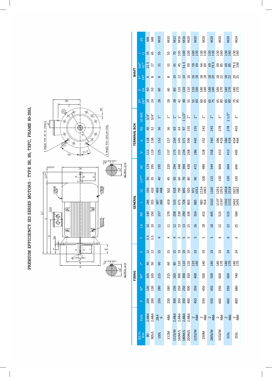|                                                                            | <b>SHAFT</b>        | $GAC*$<br>t *<br>"<br>шď                  | 21.5<br>6<br>$\overline{a}$ | 27<br>$\infty$<br>50 |
|----------------------------------------------------------------------------|---------------------|-------------------------------------------|-----------------------------|----------------------|
| $\overline{\mathbb{Q}}$<br>$\overline{\wedge}$<br>Sø<br>O.<br>Ŕ,           |                     | $\stackrel{*}{\circ} \stackrel{*}{\circ}$ | $\overline{a}$              | 24                   |
| Ø<br>প্প<br>¢<br>Þ.<br>AC                                                  |                     | S <sub>2</sub> B <sub>SC</sub>            | $3/4$ "                     | 3/4"                 |
| 4 HOLES FOR 80 TO 200M/L<br>/8 HOLES FOR 225S/M-355L<br>$\frac{1}{2}$<br>Þ | <b>TERMINAL BOX</b> | Q                                         | $\overline{40}$             | 52                   |
| <br>ø<br>ø.                                                                |                     | $\sigma$                                  | 118                         | 138                  |
| 22.5<br>$\mathcal{S}_{\not\mathcal{S}}$<br>$E_{\overline{Y}}$              |                     | $\geq$                                    | 111                         | 119                  |
| SECTION B-B<br><u>pom</u><br>$\overline{\sigma}$<br>೪<br>$\vee^*$          |                     | $\overline{AC}$                           | 174                         | 195                  |
| estanti<br>$\frac{1}{4}$<br><u>م</u><br>$\equiv$<br>œ.                     |                     | $L^{**}$                                  | 30                          | 35                   |
| <b>CREASE</b><br>NLET<br><b>GREASE</b>                                     |                     | $\overline{a}$                            | 330                         | 410                  |
| 2x52<br>€<br>$\overline{\bullet}$                                          | GENERAL             | L,                                        | 286                         | 355                  |
| $\supseteq$<br>€<br>EARTHING                                               |                     | $\overline{4}$                            | 140                         | 150                  |
| €<br>₽                                                                     |                     | $\overline{\mathbb{Z}}$                   | $\overline{10}$             | $\overline{a}$       |
| $\sigma$<br>₹<br>ħ<br>Ŧ<br>т                                               |                     | Н                                         | 3.5                         | 3.5                  |
| $\frac{1}{2}$<br>щ<br>¥.<br>தி<br>$\overline{D}_*$                         |                     | S                                         | $\overline{12}$             | 12                   |
| E,<br>$\frac{N}{d}$<br>SECTION A-A                                         |                     | *.                                        | $\overline{a}$              | 50                   |
|                                                                            | FIXING              | $\sum_{i=1}^{n}$                          | 165                         | 165                  |
|                                                                            |                     | $\bar{z}$                                 | 130                         | 130                  |
|                                                                            |                     | $\sim$                                    | 200                         | 200                  |
|                                                                            |                     | $\overline{\mathsf{e}}$                   | 86                          | 88                   |

| $\frac{1}{6}$                  |                             | S &                                        | OTIN            | <b>N10</b>                                                            |                                      |                                          |                          |                 | N12<br>N16<br>N20<br>N20<br>N20                                                                                                                                                                                                                                                                                     |               | <b>M20</b>     | <b>M20</b>      | <b>N20</b>                                 | M24           |
|--------------------------------|-----------------------------|--------------------------------------------|-----------------|-----------------------------------------------------------------------|--------------------------------------|------------------------------------------|--------------------------|-----------------|---------------------------------------------------------------------------------------------------------------------------------------------------------------------------------------------------------------------------------------------------------------------------------------------------------------------|---------------|----------------|-----------------|--------------------------------------------|---------------|
| $-\equiv$                      | $\frac{35}{45}$             |                                            | 55              | 55                                                                    |                                      |                                          |                          |                 |                                                                                                                                                                                                                                                                                                                     |               |                |                 |                                            |               |
| GA*<br>0<br>21.5<br>27         |                             |                                            | $\overline{31}$ | $\frac{1}{2}$                                                         |                                      |                                          |                          |                 |                                                                                                                                                                                                                                                                                                                     |               |                |                 | <u>d d j j v v g q g mg b j g mg b j d</u> |               |
| *_*∐                           | $\circ$                     | ${}^{\circ}$                               | $\infty$        | $\infty$                                                              |                                      |                                          |                          |                 |                                                                                                                                                                                                                                                                                                                     |               |                |                 |                                            |               |
| <b>□ 2 음 양</b>                 |                             |                                            | 60              | 60                                                                    |                                      |                                          |                          |                 |                                                                                                                                                                                                                                                                                                                     |               |                |                 | $8.51513343434342424242$                   |               |
| <u>ំ ក្តុំ ង ដ</u>             |                             |                                            | 28              | 28                                                                    |                                      | $\frac{8}{3}$                            |                          |                 |                                                                                                                                                                                                                                                                                                                     |               |                |                 |                                            |               |
| S <sub>2</sub> B <sub>SC</sub> | $\frac{3}{4}$ <sup>14</sup> |                                            | 뒥               | $\frac{1}{4}$ $\frac{1}{4}$ $\frac{1}{4}$ $\frac{1}{2}$ $\frac{1}{2}$ |                                      |                                          |                          |                 | $\bar{z}$                                                                                                                                                                                                                                                                                                           | $\bar{z}$     | $\bar{z}$      | $\bar{z}$       | 21/2"                                      | $\frac{1}{6}$ |
| Q                              | $\overline{a}$              | 52                                         | 95              | 56                                                                    | $63\,$                               | 63                                       |                          | $\frac{97}{15}$ | 155                                                                                                                                                                                                                                                                                                                 | 243           | 243            | 278             | 278                                        | 403           |
| $\sigma$                       |                             | 118<br>138                                 | 152             | 157                                                                   |                                      | 204                                      | 371                      | 396             | 445                                                                                                                                                                                                                                                                                                                 | 352           | 360            | $rac{386}{416}$ | 386<br>416                                 | 434<br>464    |
| $\geq$                         |                             | $\frac{11}{11}$                            | 125             | 137                                                                   |                                      |                                          | 173<br>203<br>288        |                 | 286                                                                                                                                                                                                                                                                                                                 | 328           | 358            | 413             | 413                                        | 495           |
| QC                             | 174                         |                                            | 195             | 220                                                                   |                                      |                                          | 2948<br>285<br>2943      |                 | 472                                                                                                                                                                                                                                                                                                                 | 489           | 544            | 604             | 604                                        | 695           |
| $\mathbb{L}^*$                 | $\overline{\mathrm{30}}$    | 35                                         | $\overline{40}$ | 45                                                                    |                                      |                                          | $8888$                   |                 | $\mathcal{S}$                                                                                                                                                                                                                                                                                                       | 100           | 115            | 130             | 130                                        | 145           |
| $\overline{C}$                 |                             | $\begin{array}{c}\n30 \\ 410\n\end{array}$ | 469<br>448      | 502                                                                   |                                      |                                          |                          |                 | $\frac{8}{2}$ $\frac{8}{2}$ $\frac{1}{2}$ $\frac{1}{2}$ $\frac{3}{2}$ $\frac{1}{2}$ $\frac{3}{2}$ $\frac{1}{2}$ $\frac{3}{2}$ $\frac{1}{2}$ $\frac{3}{2}$ $\frac{1}{2}$ $\frac{3}{2}$ $\frac{3}{2}$ $\frac{3}{2}$ $\frac{3}{2}$ $\frac{3}{2}$ $\frac{3}{2}$ $\frac{3}{2}$ $\frac{3}{2}$ $\frac{3}{2}$ $\frac{3}{2}$ |               | 1160           |                 | 1293<br>1353<br>14518                      | 1622<br>1682  |
| $\overline{\phantom{0}}$       | 286<br>355                  |                                            | 387             | 419                                                                   | 533                                  |                                          | <b>678</b><br>728<br>803 |                 | 885                                                                                                                                                                                                                                                                                                                 | 983           | 1010           |                 | 1137<br>1167<br>11302<br>1451<br>1491      |               |
| $\overline{A}$                 | 140                         | 150                                        | 157             | 170                                                                   |                                      |                                          | 208<br>238<br>290        | 336             | 354                                                                                                                                                                                                                                                                                                                 | 415           | 445            | 515             | 515                                        | 584           |
| $\Delta$                       | $\Omega$                    | $\Omega$                                   | $\overline{11}$ | $\overline{11}$                                                       | $12 \text{ }$                        | $\boxed{2}$                              | $\frac{13}{2}$           | $\frac{1}{2}$   | $\frac{16}{1}$                                                                                                                                                                                                                                                                                                      | $\frac{8}{2}$ | $\frac{8}{18}$ | 22              | 22                                         | 25            |
|                                | 3.5                         | 3.5                                        |                 |                                                                       |                                      |                                          | m                        |                 |                                                                                                                                                                                                                                                                                                                     |               | 5              | ဖ               | 6                                          | 6             |
| $\circ$                        | 12                          | $\overline{c}$                             | $\frac{5}{1}$   | $\overline{1}$                                                        | $\overline{1}$                       | $\overline{a}$                           | $\overline{a}$           | $\overline{a}$  | ግ<br>ግ                                                                                                                                                                                                                                                                                                              | 51            | $\overline{a}$ | 24              | 24                                         | 24            |
| *.                             | $\overline{a}$              | S                                          | 60              | 60                                                                    |                                      |                                          |                          |                 | 822222                                                                                                                                                                                                                                                                                                              | 140           | 140            | 140<br>170      | 140                                        | 140           |
| $\sum^*$                       | 165                         | 165                                        | 215             | 215                                                                   | 265                                  | 300                                      | 300                      | 350             | 400                                                                                                                                                                                                                                                                                                                 | 500           | 500            | 600             | 600                                        | 740           |
| $\check{z}$                    | 130                         | 130                                        | 180             | 180                                                                   |                                      | $\begin{array}{c} 30 \\ 250 \end{array}$ | 250                      | 300             | 350                                                                                                                                                                                                                                                                                                                 | 450           | 450            | 550             | 550                                        | 680           |
| $\Delta$                       | 200                         | 200                                        | 250             | 250                                                                   | 300                                  | 350                                      | 350                      | 400             | 450                                                                                                                                                                                                                                                                                                                 | 550           | 550            | 660             | 660                                        | 800           |
| Pole                           | 2,4&6                       | 2,4&6                                      | 284             | 4&6                                                                   | 2,4&6                                |                                          |                          |                 |                                                                                                                                                                                                                                                                                                                     |               |                |                 |                                            |               |
| IEC Fr.<br>Size                |                             | 1/SOG                                      | 100L            | 112M                                                                  | 1325/M<br>160M/L<br>180M/L<br>200M/L |                                          |                          |                 | 225S/M                                                                                                                                                                                                                                                                                                              | 250M          | 280S/M         | 315S/M          | 315L                                       | 355L          |

PREMIUM EFFICIENCY IE3 SERIES MOTORS - TYPE 3H, B5, TEFC, FRAME 80-355L **PREMIUM EFFICIENCY IE3 SERIES MOTORS - TYPE 3H, B5, TEFC, FRAME 80-355L**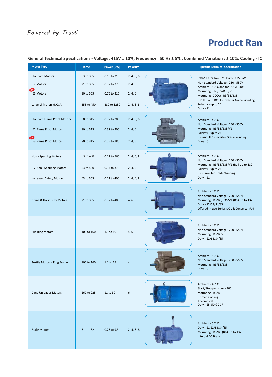# Powered by Trust

# **Product Ran**

|                                                                                                      |                                                   |                                                          |                                                | General Technical Specifications - Voltage: 415V ± 10%, Frequency: 50 Hz ± 5%, Combined Variation : ± 10%, Cooling - IC                                                                                                                                |
|------------------------------------------------------------------------------------------------------|---------------------------------------------------|----------------------------------------------------------|------------------------------------------------|--------------------------------------------------------------------------------------------------------------------------------------------------------------------------------------------------------------------------------------------------------|
| <b>Motor Type</b>                                                                                    | Frame                                             | Power (kW)                                               | <b>Polarity</b>                                | <b>Specific Technical Specification</b>                                                                                                                                                                                                                |
| <b>Standard Motors</b><br><b>IE2 Motors</b><br>NEW 3<br><b>IE3 Motors</b><br>Large LT Motors (DCCA)  | 63 to 355<br>71 to 355<br>80 to 355<br>355 to 450 | 0.18 to 315<br>0.37 to 375<br>0.75 to 315<br>280 to 1250 | 2, 4, 6, 8<br>2, 4, 6<br>2, 4, 6<br>2, 4, 6, 8 | 690V ± 10% from 710kW to 1250kW<br>Non Standard Voltage: 250 - 550V<br>Ambient - 50° C and for DCCA - 40° C<br>Mounting: B3/B5/B35/V1<br>Mounting (DCCA) : B3/B5/B35<br>IE2, IE3 and DCCA - Inverter Grade Winding<br>Polarity - up to 24<br>Duty - S1 |
| <b>Standard Flame Proof Motors</b><br><b>IE2 Flame Proof Motors</b><br><b>IE3 Flame Proof Motors</b> | 80 to 315<br>80 to 315<br>80 to 315               | 0.37 to 200<br>0.37 to 200<br>0.75 to 180                | 2, 4, 6, 8<br>2, 4, 6<br>2, 4, 6               | Ambient - 45°C<br>Non Standard Voltage: 250 - 550V<br>Mounting - B3/B5/B35/V1<br>Polarity - up to 24<br>IE2 and IE3 - Inverter Grade Winding<br>Duty - S1                                                                                              |
| Non - Sparking Motors<br>IE2 Non - Sparking Motors<br><b>Increased Safety Motors</b>                 | 63 to 400<br>63 to 400<br>63 to 355               | 0.12 to 560<br>0.37 to 375<br>0.12 to 400                | 2, 4, 6, 8<br>2, 4, 6<br>2, 4, 6, 8            | Ambient - 45°C<br>Non Standard Voltage: 250 - 550V<br>Mounting - B3/B5/B35/V1 (B14 up to 132)<br>Polarity - up to 24<br>IE2 - Inverter Grade Winding<br>Duty - S1                                                                                      |
| Crane & Hoist Duty Motors                                                                            | 71 to 355                                         | 0.37 to 400                                              | 4, 6, 8                                        | Ambient - 45° C<br>Non Standard Voltage: 250 - 550V<br>Mounting - B3/B5/B35/V1 (B14 up to 132)<br>Duty - S2/S3/S4/S5<br>Offered in two Series DOL & Converter Fed                                                                                      |
| <b>Slip Ring Motors</b>                                                                              | 100 to 160                                        | 1.1 to 10                                                | 4, 6                                           | Ambient - 45° C<br>Non Standard Voltage: 250 - 550V<br>Mounting - B3/B35<br>Duty - S2/S3/S4/S5                                                                                                                                                         |
| Textile Motors - Ring Frame                                                                          | 100 to 160                                        | 1.1 to 15                                                | $\overline{4}$                                 | Ambient - 50° C<br>Non Standard Voltage: 250 - 550V<br>Mounting - B3/B5/B35<br>Duty - S1                                                                                                                                                               |
| <b>Cane Unloader Motors</b>                                                                          | 160 to 225                                        | 11 to 30                                                 | 6                                              | Ambient - 45° C<br>Start/Stop per Hour - 900<br>Mounting - B3/B5<br>F orced Cooling<br>Thermostat<br>Duty - S5, 50% CDF                                                                                                                                |
| <b>Brake Motors</b>                                                                                  | 71 to 132                                         | 0.25 to 9.3                                              | 2, 4, 6, 8                                     | Ambient - 50° C<br>Duty - S1, S2/S3/S4/S5<br>Mounting - B3/B5 (B14 up to 132)<br>Integral DC Brake                                                                                                                                                     |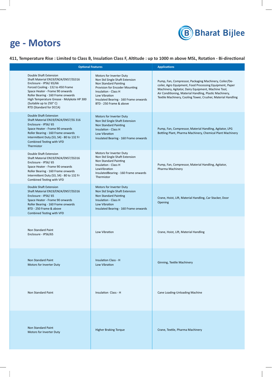

# **Product Range - Motors**

# 411, Temperature Rise : Limited to Class B, Insulation Class F, Altitude : up to 1000 m above MSL, Rotation - Bi-directional

| <b>Optional Features</b>                                                                                                                                                                                                                                                                                |                                                                                                                                                                                                                                    | <b>Applications</b>                                                                                                                                                                                                                                                                                  |
|---------------------------------------------------------------------------------------------------------------------------------------------------------------------------------------------------------------------------------------------------------------------------------------------------------|------------------------------------------------------------------------------------------------------------------------------------------------------------------------------------------------------------------------------------|------------------------------------------------------------------------------------------------------------------------------------------------------------------------------------------------------------------------------------------------------------------------------------------------------|
| Double Shaft Extension<br>Shaft Material EN19/EN24/EN57/SS316<br>Enclosure - IP56/65/66<br>Forced Cooling - 132 to 450 Frame<br>Space Heater - Frame 90 onwards<br>Roller Bearing - 160 Frame onwards<br>High Temperature Grease - Molykote HP 300<br>(Suitable up to 250°C)<br>RTD (Standard for DCCA) | Motors for Inverter Duty<br>Non Std Single Shaft Extension<br>Non Standard Painting<br>Provision for Encoder Mounting<br>Insulation - Class H<br>Low Vibration<br>Insulated Bearing - 160 Frame onwards<br>BTD - 250 Frame & above | Pump, Fan, Compressor, Packaging Machinery, Coiler/De-<br>coiler, Agro Equipment, Food Processing Equipment, Paper<br>Machinery, Agitator, Dairy Equipment, Machine Tool,<br>Air Conditioning, Material Handling, Plastic Machinery,<br>Textile Machinery, Cooling Tower, Crusher, Material Handling |
| <b>Double Shaft Extension</b><br>Shaft Material EN19/EN24/EN57/SS 316<br>Enclosure - IP56/65<br>Space Heater - Frame 90 onwards<br>Roller Bearing - 160 Frame onwards<br>Intermittent Duty (S3, S4) - 80 to 132 Fr<br>Combined Testing with VFD<br>Thermistor                                           | Motors for Inverter Duty<br>Non Std Single Shaft Extension<br><b>Non Standard Painting</b><br>Insulation - Class H<br>Low Vibration<br>Insulated Bearing - 160 Frame onwards                                                       | Pump, Fan, Compressor, Material Handling, Agitator, LPG<br>Bottling Plant, Pharma Machinery, Chemical Plant Machinery                                                                                                                                                                                |
| Double Shaft Extension<br>Shaft Material EN19/EN24/EN57/SS316<br>Enclosure - IP56/65<br>Space Heater - Frame 90 onwards<br>Roller Bearing - 160 Frame onwards<br>Intermittent Duty (S3, S4) - 80 to 132 Fr<br>Combined Testing with VFD                                                                 | Motors for Inverter Duty<br>Non Std Single Shaft Extension<br><b>Non Standard Painting</b><br>Insulation - Class H<br>LowVibration<br>InsulatedBearing - 160 Frame onwards<br>Thermistor                                           | Pump, Fan, Compressor, Material Handling, Agitator,<br>Pharma Machinery                                                                                                                                                                                                                              |
| Double Shaft Extension<br>Shaft Material EN19/EN24/EN57/SS316<br>Enclosure - IP56/65<br>Space Heater - Frame 90 onwards<br>Roller Bearing - 160 Frame onwards<br>BTD - 250 Frame & above<br>Combined Testing with VFD                                                                                   | Motors for Inverter Duty<br>Non Std Single Shaft Extension<br><b>Non Standard Painting</b><br>Insulation - Class H<br><b>Low Vibration</b><br>Insulated Bearing - 160 Frame onwards                                                | Crane, Hoist, Lift, Material Handling, Car Stacker, Door<br>Opening                                                                                                                                                                                                                                  |
| Non Standard Paint<br>Enclosure - IP56/65                                                                                                                                                                                                                                                               | Low Vibration                                                                                                                                                                                                                      | Crane, Hoist, Lift, Material Handling                                                                                                                                                                                                                                                                |
| <b>Non Standard Paint</b><br>Motors for Inverter Duty                                                                                                                                                                                                                                                   | <b>Insulation Class - H</b><br><b>Low Vibration</b>                                                                                                                                                                                | Ginning, Textile Machinery                                                                                                                                                                                                                                                                           |
| Non Standard Paint                                                                                                                                                                                                                                                                                      | Insulation Class - H                                                                                                                                                                                                               | Cane Loading-Unloading Machine                                                                                                                                                                                                                                                                       |
| Non Standard Paint<br>Motors for Inverter Duty                                                                                                                                                                                                                                                          | <b>Higher Braking Torque</b>                                                                                                                                                                                                       | Crane, Textile, Pharma Machinery                                                                                                                                                                                                                                                                     |